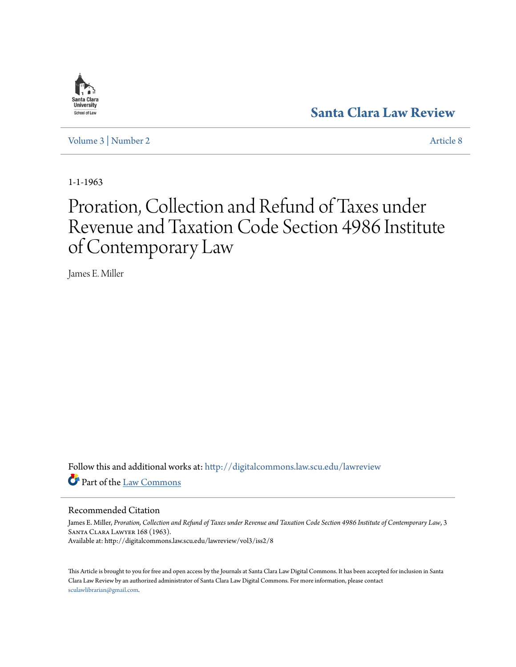

**[Santa Clara Law Review](http://digitalcommons.law.scu.edu/lawreview?utm_source=digitalcommons.law.scu.edu%2Flawreview%2Fvol3%2Fiss2%2F8&utm_medium=PDF&utm_campaign=PDFCoverPages)**

[Volume 3](http://digitalcommons.law.scu.edu/lawreview/vol3?utm_source=digitalcommons.law.scu.edu%2Flawreview%2Fvol3%2Fiss2%2F8&utm_medium=PDF&utm_campaign=PDFCoverPages) | [Number 2](http://digitalcommons.law.scu.edu/lawreview/vol3/iss2?utm_source=digitalcommons.law.scu.edu%2Flawreview%2Fvol3%2Fiss2%2F8&utm_medium=PDF&utm_campaign=PDFCoverPages) [Article 8](http://digitalcommons.law.scu.edu/lawreview/vol3/iss2/8?utm_source=digitalcommons.law.scu.edu%2Flawreview%2Fvol3%2Fiss2%2F8&utm_medium=PDF&utm_campaign=PDFCoverPages)

1-1-1963

# Proration, Collection and Refund of Taxes under Revenue and Taxation Code Section 4986 Institute of Contemporary Law

James E. Miller

Follow this and additional works at: [http://digitalcommons.law.scu.edu/lawreview](http://digitalcommons.law.scu.edu/lawreview?utm_source=digitalcommons.law.scu.edu%2Flawreview%2Fvol3%2Fiss2%2F8&utm_medium=PDF&utm_campaign=PDFCoverPages) Part of the [Law Commons](http://network.bepress.com/hgg/discipline/578?utm_source=digitalcommons.law.scu.edu%2Flawreview%2Fvol3%2Fiss2%2F8&utm_medium=PDF&utm_campaign=PDFCoverPages)

### Recommended Citation

James E. Miller, *Proration, Collection and Refund of Taxes under Revenue and Taxation Code Section 4986 Institute of Contemporary Law*, 3 Santa Clara Lawyer 168 (1963). Available at: http://digitalcommons.law.scu.edu/lawreview/vol3/iss2/8

This Article is brought to you for free and open access by the Journals at Santa Clara Law Digital Commons. It has been accepted for inclusion in Santa Clara Law Review by an authorized administrator of Santa Clara Law Digital Commons. For more information, please contact [sculawlibrarian@gmail.com](mailto:sculawlibrarian@gmail.com).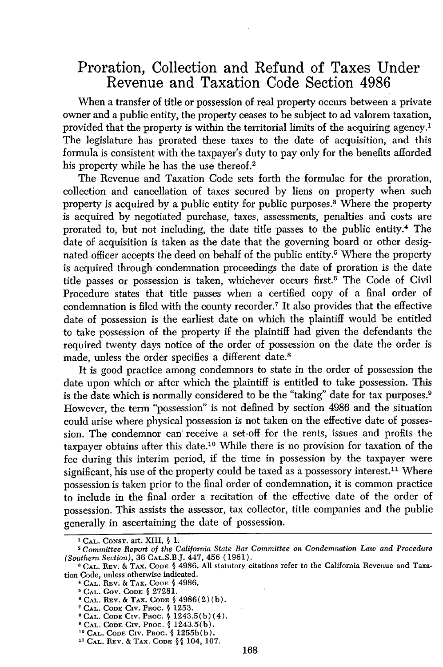## Proration, Collection and Refund of Taxes Under Revenue and Taxation Code Section **4986**

When a transfer of title or possession of real property occurs between a private owner and a public entity, the property ceases to be subject to ad valorem taxation, provided that the property is within the territorial limits of the acquiring agency.1 The legislature has prorated these taxes to the date of acquisition, and this formula is consistent with the taxpayer's duty to pay only for the benefits afforded his property while he has the use thereof.<sup>2</sup>

The Revenue and Taxation Code sets forth the formulae for the proration, collection and cancellation of taxes secured by liens on property when such property is acquired by a public entity for public purposes.<sup>3</sup> Where the property is acquired by negotiated purchase, taxes, assessments, penalties and costs are prorated to, but not including, the date title passes to the public entity.4 The date **of** acquisition is taken as the date that the governing board or other designated officer accepts the deed on behalf of the public entity.<sup>5</sup> Where the property is acquired through condemnation proceedings the date of proration is the date title passes or possession is taken, whichever occurs first.<sup>6</sup> The Code of Civil Procedure states that title passes when a certified copy of a final order of condemnation is filed with the county recorder. 7 It also provides that the effective date of possession is the earliest date on which the plaintiff would be entitled to take possession of the property if the plaintiff had given the defendants the required twenty days notice of the order of possession on the date the order is made, unless the order specifies a different date.8

It is good practice among condemnors to state in the order of possession the date upon which or after which the plaintiff is entitled to take possession. This is the date which is normally considered to be the "taking" date for tax purposes.9 However, the term "possession" is not defined by section 4986 and the situation could arise where physical possession is not taken on the effective date of possession. The condemnor can' receive a set-off for the rents, issues and profits the taxpayer obtains after this date. 10 While there is no provision for taxation of the fee during this interim period, if the time in possession by the taxpayer were significant, his use of the property could be taxed as a possessory interest.<sup>11</sup> Where possession is taken prior to the final order of condemnation, it is common practice to include in the final order a recitation of the effective date of the order of possession. This assists the assessor, tax collector, title companies and the public generally in ascertaining the date of possession.

**<sup>&#</sup>x27;CAL. CONST.** art. XIII, **§ 1.**

*Committee Report of the California State Bar Committee on Condemnation Law and Procedure (Southern Section),* 36 CAL.S.B.J. 447, 456 (1961).

**a CAL.** REV. & TAX. **CODE §** 4986. All statutory citations refer to the California Revenue and Taxation Code, unless otherwise indicated.

**<sup>4</sup> CAL.** REV. & TAX. CODE **§** 4986.

**<sup>5</sup> CAL.** GoV. **CODE §** 27281.

**<sup>&#</sup>x27; CAL.** REV. & TAX. **CODE §** 4986(2) (b).

**CAL. CODE Civ.** PRoc. § 1253.

**<sup>&#</sup>x27;CAL. CODE** CIv. Pnoc. § 1243.5(b)(4).

**CAL. CODE CIV. PROC.** § 1243.5(b). **0 CAL. CODE** CIV. Pnoc. § 1255b(b).

**<sup>&</sup>quot; CAL.** REV. & TAX. **CODE § §** 104, 107.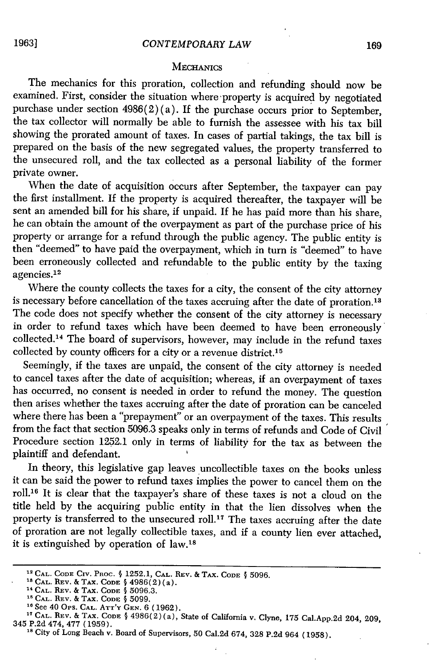#### **MECHANICS**

The mechanics for this proration, collection and refunding should now be examined. First, consider the situation where-property is acquired by negotiated purchase under section  $4986(2)(a)$ . If the purchase occurs prior to September, the tax collector will normally be able to furnish the assessee with his tax bill showing the prorated amount of taxes. In cases of partial takings, the tax bill is prepared on the basis of the new segregated values, the property transferred to the unsecured roll, and the tax collected as a personal liability of the former private owner.

When the date of acquisition occurs after September, the taxpayer can pay the first installment. If the property is acquired thereafter, the taxpayer will be sent an amended bill for his share, if unpaid. If he has paid more than his share, he can obtain the amount of the overpayment as part of the purchase price of his property or arrange for a refund through the public agency. The public entity is then "deemed" to have paid the overpayment, which in turn is "deemed" to have been erroneously collected and refundable to the public entity by the taxing agencies.<sup>12</sup>

Where the county collects the taxes for a city, the consent of the city attorney is necessary before cancellation of the taxes accruing after the date of proration.<sup>13</sup> The code does not specify whether the consent of the city attorney is necessary in order to refund taxes which have been deemed to have been erroneously collected. 14 The board of supervisors, however, may include in the refund taxes collected by county officers for a city or a revenue district.<sup>15</sup>

Seemingly, if the taxes are unpaid, the consent of the city attorney is needed to cancel taxes after the date of acquisition; whereas, if an overpayment of taxes has occurred, no consent is needed in order to refund the money. The question then arises whether the taxes accruing after the date of proration can be canceled where there has been a "prepayment" or an overpayment of the taxes. This results from the fact that section 5096.3 speaks only in terms of refunds and Code of Civil Procedure section 1252.1 only in terms of liability for the tax as between the plaintiff and defendant.

In theory, this legislative gap leaves uncollectible taxes on the books unless it can be said the power to refund taxes implies the power to cancel them on the roll. 16 It is clear that the taxpayer's share of these taxes is not a cloud on the title held by the acquiring public entity in that the lien dissolves when the property is transferred to the unsecured roll.<sup>17</sup> The taxes accruing after the date of proration are not legally collectible taxes, and if a county lien ever attached, it is extinguished by operation of law.<sup>18</sup>

**<sup>1</sup>CAL. CODE** Civ. Pnoc. **§** 1252.1, **CAL. REV.** & TAX. **CODE §** 5096.

**<sup>\*</sup> CAL. REV. & TAX. CODE** § <sup>4</sup> <sup>9</sup> <sup>8</sup> 6(2)(a). **"CAL.** REV. & TAX. **CODE** § 5096.3.

**CAL. REV.** & TAX. **CODE** § 5099.

**<sup>18</sup>**See 40 Ops. **CAL.** ATT'Y **GEN.** 6 (1962).

**<sup>,</sup>CAL. REV.** & TAX. **CODE §** 4986(2) (a), State of California **v.** Clyne, 175 Cal.App.2d 204, 209, 345 P.2d 474, 477 (1959).

**<sup>18</sup>** City of Long Beach v. Board of Supervisors, 50 CaI.2d 674, 328 P.2d 964 (1958).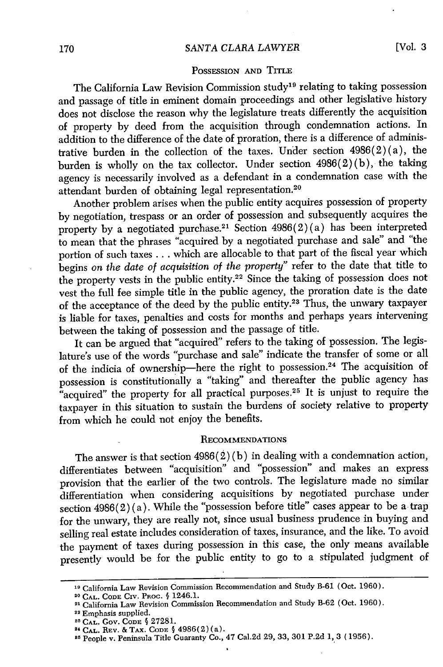#### *SANTA CLARA LAWYER*

#### POSSESSION **AND** TITLE

The California Law Revision Commission study<sup>19</sup> relating to taking possession and passage of title in eminent domain proceedings and other legislative history does not disclose the reason why the legislature treats differently the acquisition of property by deed from the acquisition through condemnation actions. In addition to the difference of the date of proration, there is a difference of administrative burden in the collection of the taxes. Under section 4986(2) (a), the burden is wholly on the tax collector. Under section 4986(2) (b), the taking agency is necessarily involved as a defendant in a condemnation case with the attendant burden of obtaining legal representation.<sup>20</sup>

Another problem arises when the public entity acquires possession of property by negotiation, trespass or an order of possession and subsequently acquires the property by a negotiated purchase.<sup>21</sup> Section  $4986(2)(a)$  has been interpreted to mean that the phrases "acquired by a negotiated purchase and sale" and "the portion of such taxes **...** which are allocable to that part of the fiscal year which begins *on the date of acquisition of the property"* refer to the date that title to the property vests in the public entity.22 Since the taking of possession does not vest the full fee simple title in the public agency, the proration date is the date of the acceptance of the deed by the public entity.23 Thus, the unwary taxpayer is liable for taxes, penalties and costs for months and perhaps years intervening between the taking of possession and the passage of title.

It can be argued that "acquired" refers to the taking of possession. The legislature's use of the words "purchase and sale" indicate the transfer of some or all of the indicia of ownership-here the right to possession.24 The acquisition of possession is constitutionally a "taking" and thereafter the public agency has "acquired" the property for all practical purposes.<sup>25</sup> It is unjust to require the taxpayer in this situation to sustain the burdens of society relative to property from which he could not enjoy the benefits.

#### RECOMMENDATIONS

The answer is that section  $4986(2)(b)$  in dealing with a condemnation action, differentiates between "acquisition" and "possession" and makes an express provision that the earlier of the two controls. The legislature made no similar differentiation when considering acquisitions by negotiated purchase under section  $4986(2)(a)$ . While the "possession before title" cases appear to be a trap for the unwary, they are really not, since usual business prudence in buying and selling real estate includes consideration of taxes, insurance, and the like. To avoid the payment of taxes during possession in this case, the only means available presently would be for the public entity to go to a stipulated judgment of

**<sup>19</sup>**California Law Revision Commission Recommendation and Study B-61 (Oct. 1960).

**<sup>20</sup> CAL. CODE** Civ. Puoc. **§** 1246.1.

**<sup>11</sup>** California Law Revision Commission Recommendation and Study B-62 (Oct. 1960).

<sup>22</sup> Emphasis supplied.

<sup>&</sup>lt;sup>23</sup> CAL. Gov. CODE § 27281.

<sup>2&#</sup>x27; **CAL.** REV. &TAx. **CODE §** 4986(2) (a).

**<sup>11</sup>** People v. Peninsula Title Guaranty Co., 47 Cal.2d **29, 33, 301 P.2d 1,** 3 **(1956).**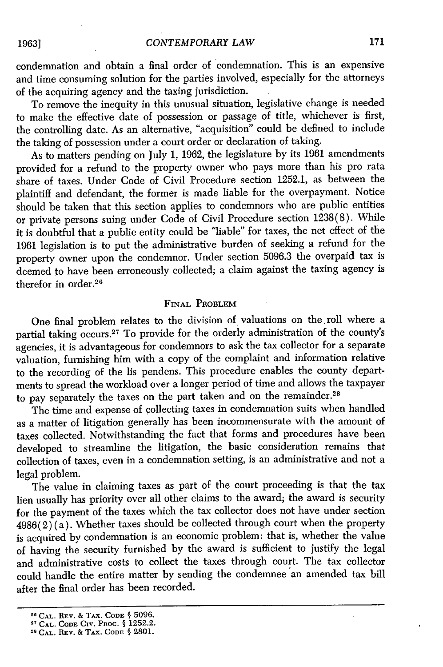condemnation and obtain a final order of condemnation. This is an expensive and time consuming solution for the parties involved, especially for the attorneys of the acquiring agency and the taxing jurisdiction.

To remove the inequity in this unusual situation, legislative change is needed to make the effective date of possession or passage of title, whichever is first, the controlling date. As an alternative, "acquisition" could be defined to include the taking of possession under a court order or declaration of taking.

As to matters pending on July 1, 1962, the legislature by its 1961 amendments provided for a refund to the property owner who pays more than his pro rata share of taxes. Under Code of Civil Procedure section 1252.1, as between the plaintiff and defendant, the former is made liable for the overpayment. Notice should be taken that this section applies to condemnors who are public entities or private persons suing under Code of Civil Procedure section 1238(8). While it is doubtful that a public entity could be "liable" for taxes, the net effect of the 1961 legislation is to put the administrative burden of seeking a refund for the property owner upon the condemnor. Under section 5096.3 the overpaid tax is deemed to have been erroneously collected; a claim against the taxing agency is therefor in order.<sup>26</sup>

#### **FiNAL PROBLEM**

One final problem relates to the division of valuations on the roll where a partial taking occurs. 27 To provide for the orderly administration of the county's agencies, it is advantageous for condemnors to ask the tax collector for a separate valuation, furnishing him with a copy of the complaint and information relative to the recording of the lis pendens. This procedure enables the county departments to spread the workload over a longer period of time and allows the taxpayer to pay separately the taxes on the part taken and on the remainder.<sup>28</sup>

The time and expense of collecting taxes in condemnation suits when handled as a matter of litigation generally has been incommensurate with the amount of taxes collected. Notwithstanding the fact that forms and procedures have been developed to streamline the litigation, the basic consideration remains that collection of taxes, even in a condemnation setting, is an administrative and not a legal problem.

The value in claiming taxes as part of the court proceeding is that the tax lien usually has priority over all other claims to the award; the award is security for the payment of the taxes which the tax collector does not have under section  $4986(2)$ (a). Whether taxes should be collected through court when the property is acquired by condemnation is an economic problem: that is, whether the value of having the security furnished by the award is sufficient to justify the legal and administrative costs to collect the taxes through court. The tax collector could handle the entire matter by sending the condemnee *'an* amended tax bill after the final order has been recorded.

<sup>26</sup>**CAL.** REV. **&** TAX. **CODE § 5096.**

**<sup>27</sup> CAL. CODE CIV. PROC. § 1252.2.**

**<sup>&</sup>quot; CAL.** REV. **&** TAX. **CODE § 2801.**